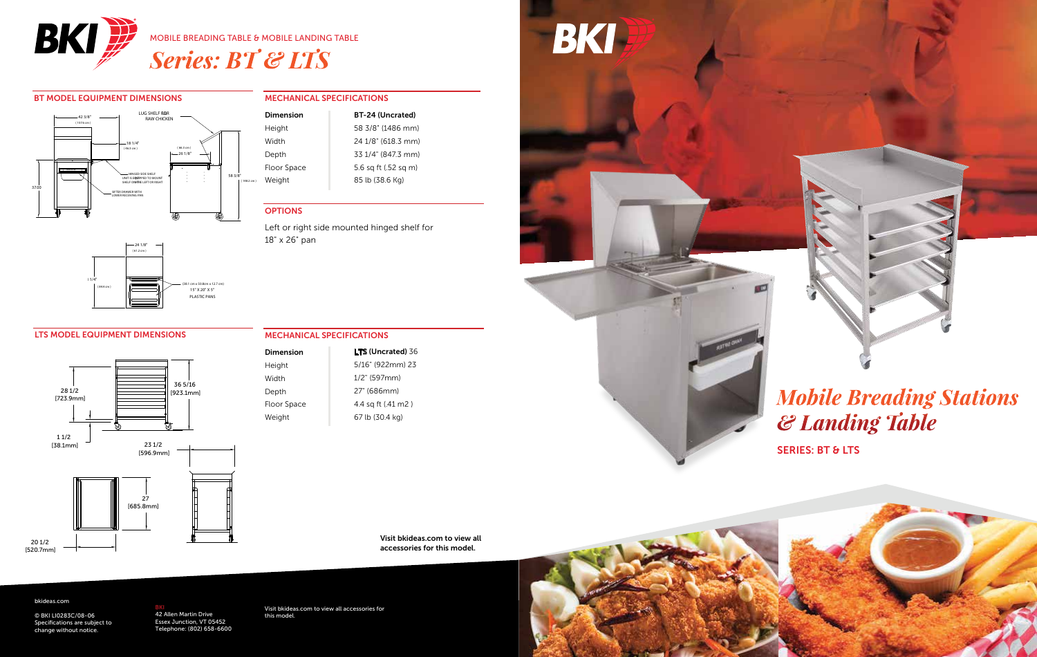

### BT MODEL EQUIPMENT DIMENSIONS



### $(38.1 \text{ cm} \times 50.8 \text{ cm} \times 12.7 \text{ cm})$ 15" X 20" X 5" PLASTIC PANS ( 61.2 cm ) ( 84.4 cm )  $-24$  1/8" 33 1/4"

### LTS MODEL EQUIPMENT DIMENSIONS



### MECHANICAL SPECIFICATIONS

| Dimension   | BT-24 (Uncrated)     |
|-------------|----------------------|
| Height      | 58 3/8" (1486 mm)    |
| Width       | 24 1/8" (618.3 mm)   |
| Depth       | 33 1/4" (847.3 mm)   |
| Floor Space | 5.6 sq ft (.52 sq m) |
| Weight      | 85 lb (38.6 Kg)      |

### **OPTIONS**

Floor Space Weight

Left or right side mounted hinged shelf for 18" x 26" pan

| Dimension | <b>LTS (Uncrated) 36</b> |
|-----------|--------------------------|
| Height    | 5/16" (922mm) 23         |
| Width     | $1/2$ " (597mm)          |
| Depth     | 27" (686mm)              |

#### MECHANICAL SPECIFICATIONS

| <b>LTS (Uncrated) 36</b> |
|--------------------------|
| 5/16" (922mm) 23         |
| 1/2" (597mm)             |
| 27" (686mm)              |
| 4.4 sg ft (.41 m2 )      |
| 67 lb (30.4 kg)          |

Visit bkideas.com to view all accessories for this model.

#### bkideas.com

© BKI LI0283C/08-06 Specifications are subject to change without notice.

<mark>BKI</mark><br>42 Allen Martin Drive<br>Essex Junction, VT 05452 Telephone: (8

Visit bkideas.com to view all accessories for this model.

### BKI

# *Mobile Breading Stations & Landing Table*

SERIES: BT & LTS